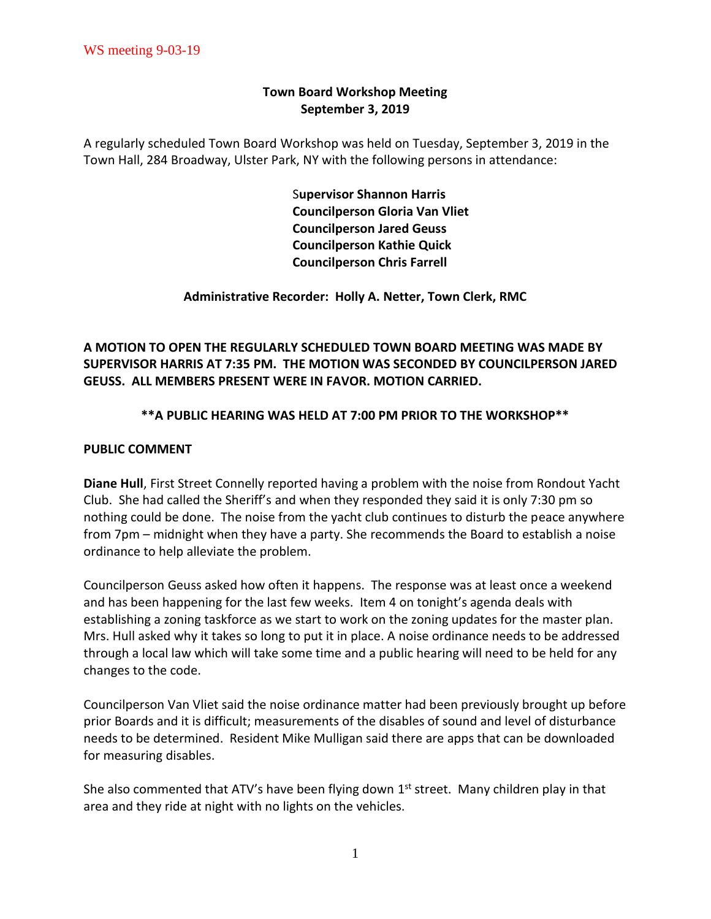## **Town Board Workshop Meeting September 3, 2019**

A regularly scheduled Town Board Workshop was held on Tuesday, September 3, 2019 in the Town Hall, 284 Broadway, Ulster Park, NY with the following persons in attendance:

> S**upervisor Shannon Harris Councilperson Gloria Van Vliet Councilperson Jared Geuss Councilperson Kathie Quick Councilperson Chris Farrell**

**Administrative Recorder: Holly A. Netter, Town Clerk, RMC**

**A MOTION TO OPEN THE REGULARLY SCHEDULED TOWN BOARD MEETING WAS MADE BY SUPERVISOR HARRIS AT 7:35 PM. THE MOTION WAS SECONDED BY COUNCILPERSON JARED GEUSS. ALL MEMBERS PRESENT WERE IN FAVOR. MOTION CARRIED.** 

## **\*\*A PUBLIC HEARING WAS HELD AT 7:00 PM PRIOR TO THE WORKSHOP\*\***

## **PUBLIC COMMENT**

**Diane Hull**, First Street Connelly reported having a problem with the noise from Rondout Yacht Club. She had called the Sheriff's and when they responded they said it is only 7:30 pm so nothing could be done. The noise from the yacht club continues to disturb the peace anywhere from 7pm – midnight when they have a party. She recommends the Board to establish a noise ordinance to help alleviate the problem.

Councilperson Geuss asked how often it happens. The response was at least once a weekend and has been happening for the last few weeks. Item 4 on tonight's agenda deals with establishing a zoning taskforce as we start to work on the zoning updates for the master plan. Mrs. Hull asked why it takes so long to put it in place. A noise ordinance needs to be addressed through a local law which will take some time and a public hearing will need to be held for any changes to the code.

Councilperson Van Vliet said the noise ordinance matter had been previously brought up before prior Boards and it is difficult; measurements of the disables of sound and level of disturbance needs to be determined. Resident Mike Mulligan said there are apps that can be downloaded for measuring disables.

She also commented that ATV's have been flying down 1<sup>st</sup> street. Many children play in that area and they ride at night with no lights on the vehicles.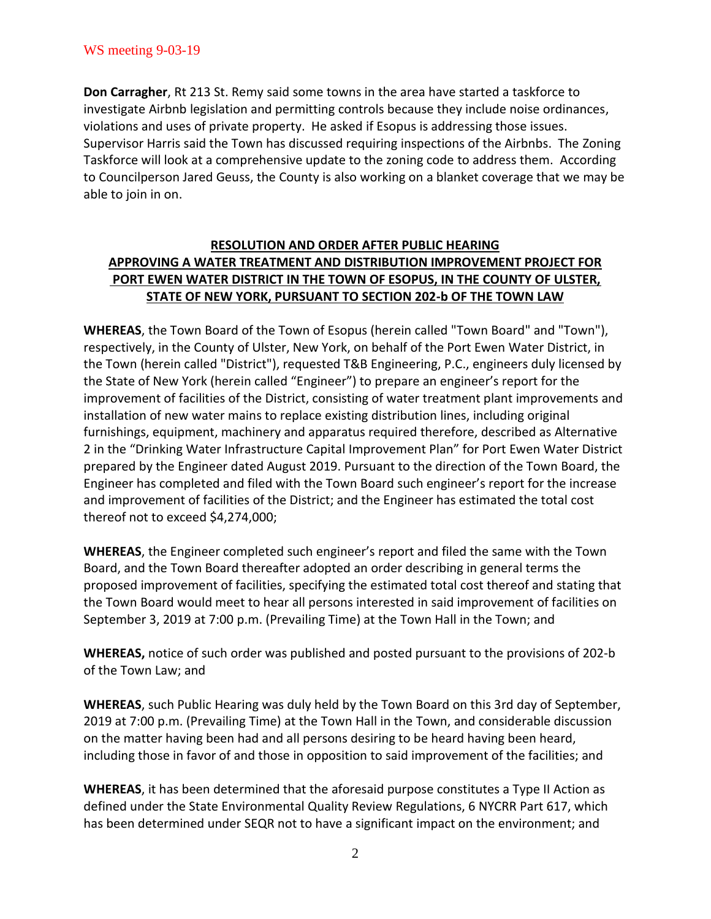**Don Carragher**, Rt 213 St. Remy said some towns in the area have started a taskforce to investigate Airbnb legislation and permitting controls because they include noise ordinances, violations and uses of private property. He asked if Esopus is addressing those issues. Supervisor Harris said the Town has discussed requiring inspections of the Airbnbs. The Zoning Taskforce will look at a comprehensive update to the zoning code to address them. According to Councilperson Jared Geuss, the County is also working on a blanket coverage that we may be able to join in on.

# **RESOLUTION AND ORDER AFTER PUBLIC HEARING APPROVING A WATER TREATMENT AND DISTRIBUTION IMPROVEMENT PROJECT FOR PORT EWEN WATER DISTRICT IN THE TOWN OF ESOPUS, IN THE COUNTY OF ULSTER, STATE OF NEW YORK, PURSUANT TO SECTION 202-b OF THE TOWN LAW**

**WHEREAS**, the Town Board of the Town of Esopus (herein called "Town Board" and "Town"), respectively, in the County of Ulster, New York, on behalf of the Port Ewen Water District, in the Town (herein called "District"), requested T&B Engineering, P.C., engineers duly licensed by the State of New York (herein called "Engineer") to prepare an engineer's report for the improvement of facilities of the District, consisting of water treatment plant improvements and installation of new water mains to replace existing distribution lines, including original furnishings, equipment, machinery and apparatus required therefore, described as Alternative 2 in the "Drinking Water Infrastructure Capital Improvement Plan" for Port Ewen Water District prepared by the Engineer dated August 2019. Pursuant to the direction of the Town Board, the Engineer has completed and filed with the Town Board such engineer's report for the increase and improvement of facilities of the District; and the Engineer has estimated the total cost thereof not to exceed \$4,274,000;

**WHEREAS**, the Engineer completed such engineer's report and filed the same with the Town Board, and the Town Board thereafter adopted an order describing in general terms the proposed improvement of facilities, specifying the estimated total cost thereof and stating that the Town Board would meet to hear all persons interested in said improvement of facilities on September 3, 2019 at 7:00 p.m. (Prevailing Time) at the Town Hall in the Town; and

**WHEREAS,** notice of such order was published and posted pursuant to the provisions of 202-b of the Town Law; and

**WHEREAS**, such Public Hearing was duly held by the Town Board on this 3rd day of September, 2019 at 7:00 p.m. (Prevailing Time) at the Town Hall in the Town, and considerable discussion on the matter having been had and all persons desiring to be heard having been heard, including those in favor of and those in opposition to said improvement of the facilities; and

**WHEREAS**, it has been determined that the aforesaid purpose constitutes a Type II Action as defined under the State Environmental Quality Review Regulations, 6 NYCRR Part 617, which has been determined under SEQR not to have a significant impact on the environment; and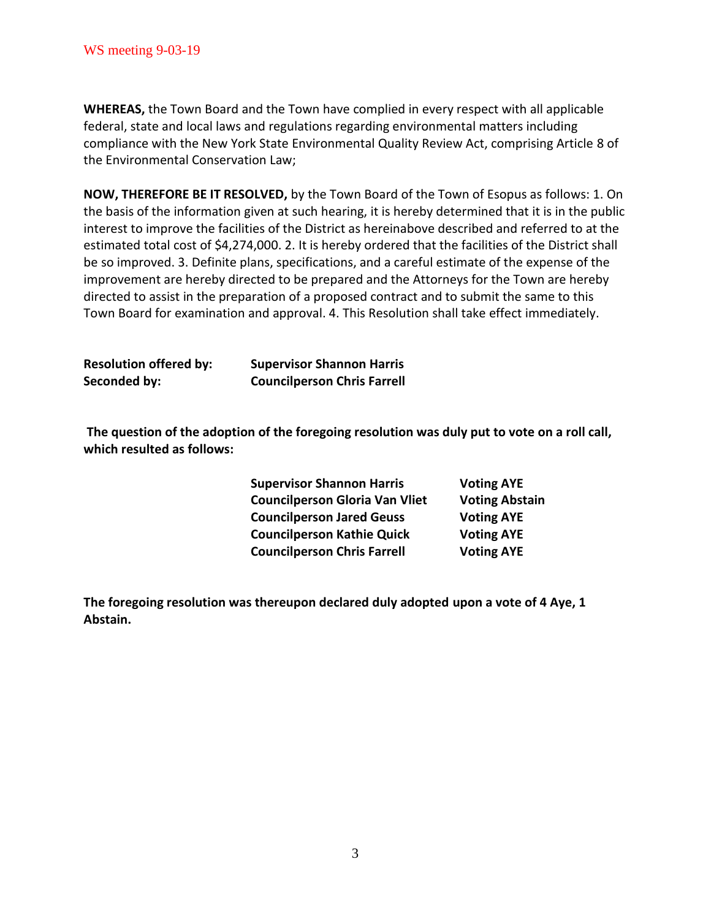**WHEREAS,** the Town Board and the Town have complied in every respect with all applicable federal, state and local laws and regulations regarding environmental matters including compliance with the New York State Environmental Quality Review Act, comprising Article 8 of the Environmental Conservation Law;

**NOW, THEREFORE BE IT RESOLVED,** by the Town Board of the Town of Esopus as follows: 1. On the basis of the information given at such hearing, it is hereby determined that it is in the public interest to improve the facilities of the District as hereinabove described and referred to at the estimated total cost of \$4,274,000. 2. It is hereby ordered that the facilities of the District shall be so improved. 3. Definite plans, specifications, and a careful estimate of the expense of the improvement are hereby directed to be prepared and the Attorneys for the Town are hereby directed to assist in the preparation of a proposed contract and to submit the same to this Town Board for examination and approval. 4. This Resolution shall take effect immediately.

| <b>Resolution offered by:</b> | <b>Supervisor Shannon Harris</b>   |
|-------------------------------|------------------------------------|
| Seconded by:                  | <b>Councilperson Chris Farrell</b> |

**The question of the adoption of the foregoing resolution was duly put to vote on a roll call, which resulted as follows:**

| <b>Supervisor Shannon Harris</b>      | <b>Voting AYE</b>     |
|---------------------------------------|-----------------------|
| <b>Councilperson Gloria Van Vliet</b> | <b>Voting Abstain</b> |
| <b>Councilperson Jared Geuss</b>      | <b>Voting AYE</b>     |
| <b>Councilperson Kathie Quick</b>     | <b>Voting AYE</b>     |
| <b>Councilperson Chris Farrell</b>    | <b>Voting AYE</b>     |

**The foregoing resolution was thereupon declared duly adopted upon a vote of 4 Aye, 1 Abstain.**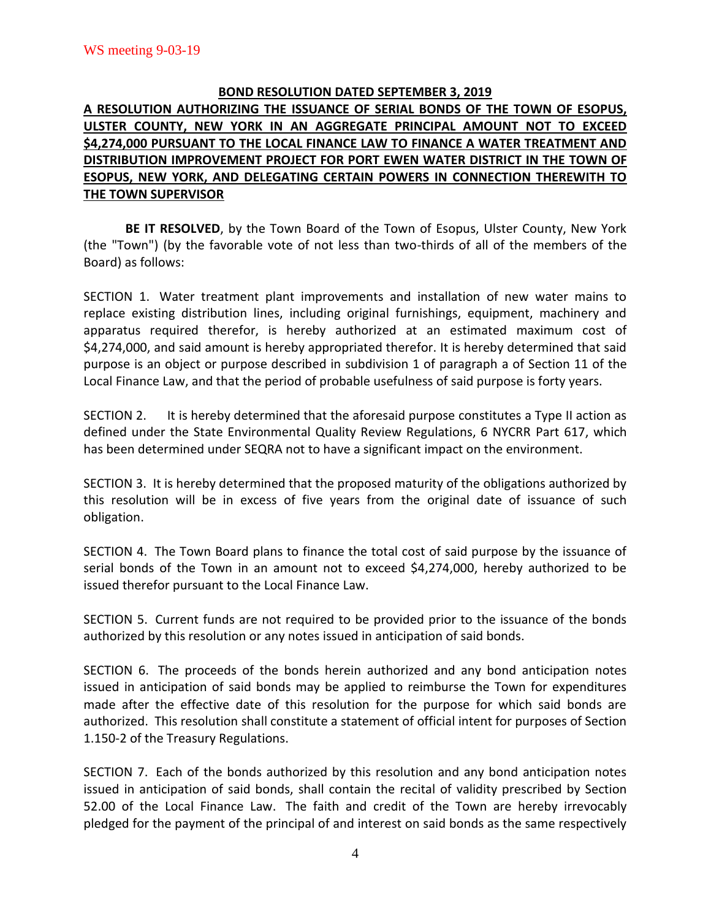## **BOND RESOLUTION DATED SEPTEMBER 3, 2019**

# **A RESOLUTION AUTHORIZING THE ISSUANCE OF SERIAL BONDS OF THE TOWN OF ESOPUS, ULSTER COUNTY, NEW YORK IN AN AGGREGATE PRINCIPAL AMOUNT NOT TO EXCEED \$4,274,000 PURSUANT TO THE LOCAL FINANCE LAW TO FINANCE A WATER TREATMENT AND DISTRIBUTION IMPROVEMENT PROJECT FOR PORT EWEN WATER DISTRICT IN THE TOWN OF ESOPUS, NEW YORK, AND DELEGATING CERTAIN POWERS IN CONNECTION THEREWITH TO THE TOWN SUPERVISOR**

**BE IT RESOLVED**, by the Town Board of the Town of Esopus, Ulster County, New York (the "Town") (by the favorable vote of not less than two-thirds of all of the members of the Board) as follows:

SECTION 1. Water treatment plant improvements and installation of new water mains to replace existing distribution lines, including original furnishings, equipment, machinery and apparatus required therefor, is hereby authorized at an estimated maximum cost of \$4,274,000, and said amount is hereby appropriated therefor. It is hereby determined that said purpose is an object or purpose described in subdivision 1 of paragraph a of Section 11 of the Local Finance Law, and that the period of probable usefulness of said purpose is forty years.

SECTION 2. It is hereby determined that the aforesaid purpose constitutes a Type II action as defined under the State Environmental Quality Review Regulations, 6 NYCRR Part 617, which has been determined under SEQRA not to have a significant impact on the environment.

SECTION 3. It is hereby determined that the proposed maturity of the obligations authorized by this resolution will be in excess of five years from the original date of issuance of such obligation.

SECTION 4. The Town Board plans to finance the total cost of said purpose by the issuance of serial bonds of the Town in an amount not to exceed \$4,274,000, hereby authorized to be issued therefor pursuant to the Local Finance Law.

SECTION 5. Current funds are not required to be provided prior to the issuance of the bonds authorized by this resolution or any notes issued in anticipation of said bonds.

SECTION 6. The proceeds of the bonds herein authorized and any bond anticipation notes issued in anticipation of said bonds may be applied to reimburse the Town for expenditures made after the effective date of this resolution for the purpose for which said bonds are authorized. This resolution shall constitute a statement of official intent for purposes of Section 1.150-2 of the Treasury Regulations.

SECTION 7. Each of the bonds authorized by this resolution and any bond anticipation notes issued in anticipation of said bonds, shall contain the recital of validity prescribed by Section 52.00 of the Local Finance Law. The faith and credit of the Town are hereby irrevocably pledged for the payment of the principal of and interest on said bonds as the same respectively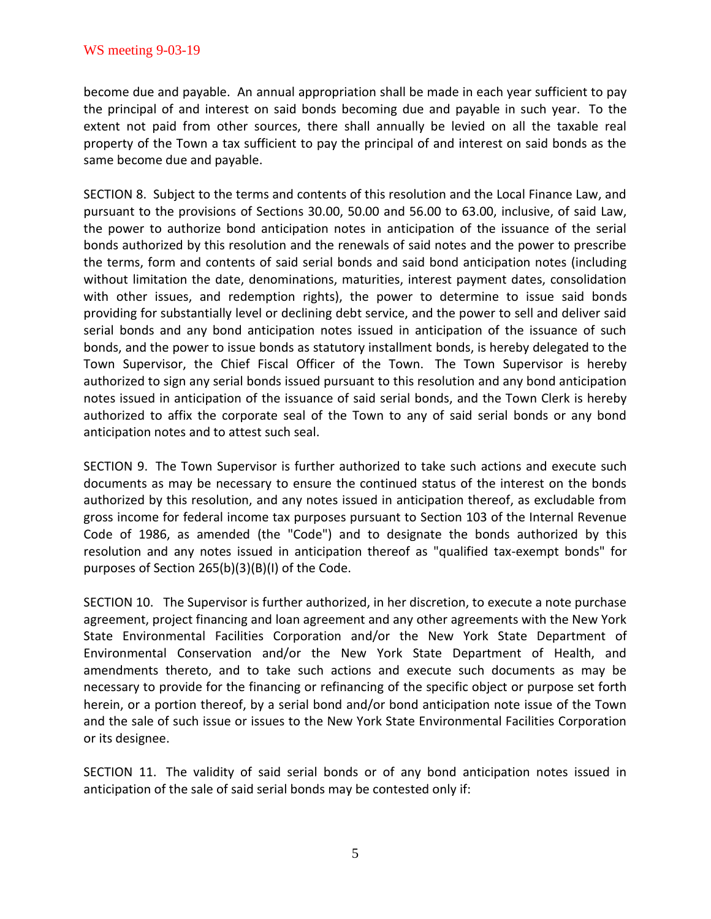become due and payable. An annual appropriation shall be made in each year sufficient to pay the principal of and interest on said bonds becoming due and payable in such year. To the extent not paid from other sources, there shall annually be levied on all the taxable real property of the Town a tax sufficient to pay the principal of and interest on said bonds as the same become due and payable.

SECTION 8. Subject to the terms and contents of this resolution and the Local Finance Law, and pursuant to the provisions of Sections 30.00, 50.00 and 56.00 to 63.00, inclusive, of said Law, the power to authorize bond anticipation notes in anticipation of the issuance of the serial bonds authorized by this resolution and the renewals of said notes and the power to prescribe the terms, form and contents of said serial bonds and said bond anticipation notes (including without limitation the date, denominations, maturities, interest payment dates, consolidation with other issues, and redemption rights), the power to determine to issue said bonds providing for substantially level or declining debt service, and the power to sell and deliver said serial bonds and any bond anticipation notes issued in anticipation of the issuance of such bonds, and the power to issue bonds as statutory installment bonds, is hereby delegated to the Town Supervisor, the Chief Fiscal Officer of the Town. The Town Supervisor is hereby authorized to sign any serial bonds issued pursuant to this resolution and any bond anticipation notes issued in anticipation of the issuance of said serial bonds, and the Town Clerk is hereby authorized to affix the corporate seal of the Town to any of said serial bonds or any bond anticipation notes and to attest such seal.

SECTION 9. The Town Supervisor is further authorized to take such actions and execute such documents as may be necessary to ensure the continued status of the interest on the bonds authorized by this resolution, and any notes issued in anticipation thereof, as excludable from gross income for federal income tax purposes pursuant to Section 103 of the Internal Revenue Code of 1986, as amended (the "Code") and to designate the bonds authorized by this resolution and any notes issued in anticipation thereof as "qualified tax-exempt bonds" for purposes of Section 265(b)(3)(B)(I) of the Code.

SECTION 10. The Supervisor is further authorized, in her discretion, to execute a note purchase agreement, project financing and loan agreement and any other agreements with the New York State Environmental Facilities Corporation and/or the New York State Department of Environmental Conservation and/or the New York State Department of Health, and amendments thereto, and to take such actions and execute such documents as may be necessary to provide for the financing or refinancing of the specific object or purpose set forth herein, or a portion thereof, by a serial bond and/or bond anticipation note issue of the Town and the sale of such issue or issues to the New York State Environmental Facilities Corporation or its designee.

SECTION 11. The validity of said serial bonds or of any bond anticipation notes issued in anticipation of the sale of said serial bonds may be contested only if: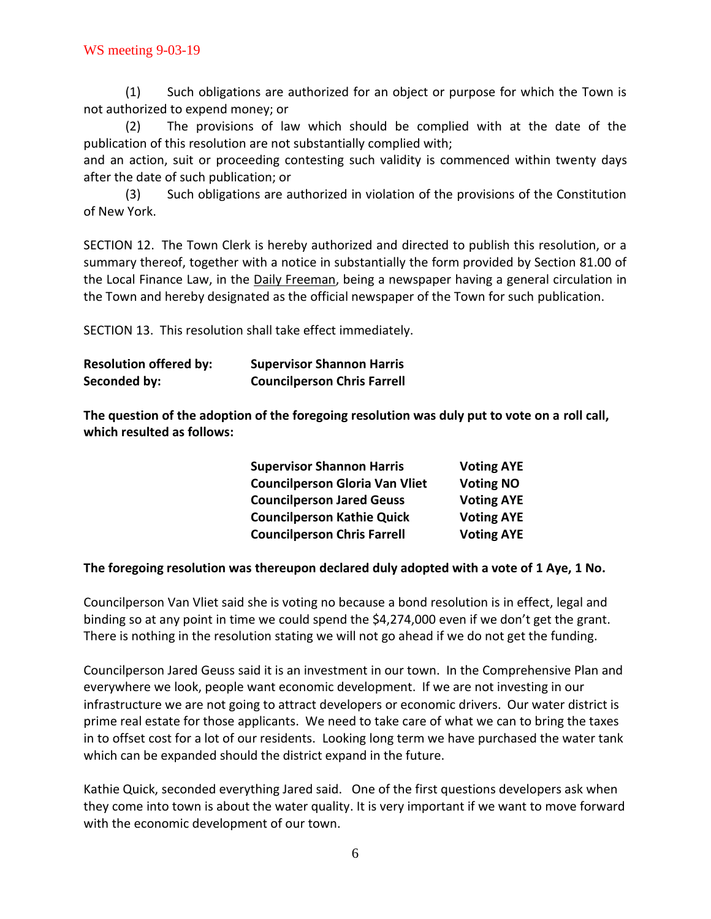(1) Such obligations are authorized for an object or purpose for which the Town is not authorized to expend money; or

(2) The provisions of law which should be complied with at the date of the publication of this resolution are not substantially complied with;

and an action, suit or proceeding contesting such validity is commenced within twenty days after the date of such publication; or

(3) Such obligations are authorized in violation of the provisions of the Constitution of New York.

SECTION 12. The Town Clerk is hereby authorized and directed to publish this resolution, or a summary thereof, together with a notice in substantially the form provided by Section 81.00 of the Local Finance Law, in the **Daily Freeman**, being a newspaper having a general circulation in the Town and hereby designated as the official newspaper of the Town for such publication.

SECTION 13. This resolution shall take effect immediately.

| <b>Resolution offered by:</b> | <b>Supervisor Shannon Harris</b>   |
|-------------------------------|------------------------------------|
| Seconded by:                  | <b>Councilperson Chris Farrell</b> |

**The question of the adoption of the foregoing resolution was duly put to vote on a roll call, which resulted as follows:**

| <b>Supervisor Shannon Harris</b>      | <b>Voting AYE</b> |
|---------------------------------------|-------------------|
| <b>Councilperson Gloria Van Vliet</b> | <b>Voting NO</b>  |
| <b>Councilperson Jared Geuss</b>      | <b>Voting AYE</b> |
| <b>Councilperson Kathie Quick</b>     | <b>Voting AYE</b> |
| <b>Councilperson Chris Farrell</b>    | <b>Voting AYE</b> |

## **The foregoing resolution was thereupon declared duly adopted with a vote of 1 Aye, 1 No.**

Councilperson Van Vliet said she is voting no because a bond resolution is in effect, legal and binding so at any point in time we could spend the \$4,274,000 even if we don't get the grant. There is nothing in the resolution stating we will not go ahead if we do not get the funding.

Councilperson Jared Geuss said it is an investment in our town. In the Comprehensive Plan and everywhere we look, people want economic development. If we are not investing in our infrastructure we are not going to attract developers or economic drivers. Our water district is prime real estate for those applicants. We need to take care of what we can to bring the taxes in to offset cost for a lot of our residents. Looking long term we have purchased the water tank which can be expanded should the district expand in the future.

Kathie Quick, seconded everything Jared said. One of the first questions developers ask when they come into town is about the water quality. It is very important if we want to move forward with the economic development of our town.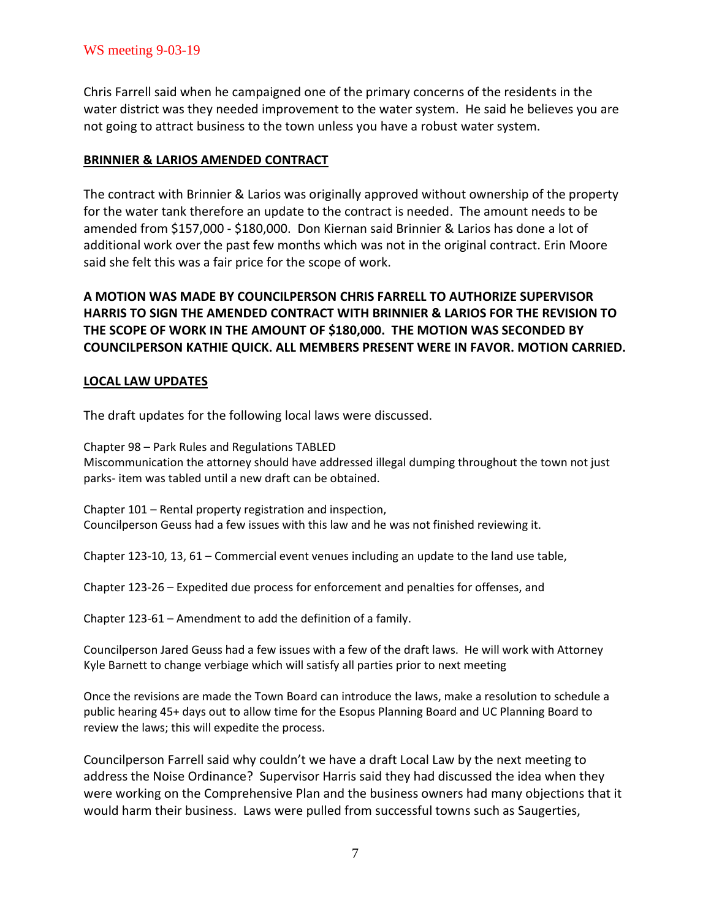Chris Farrell said when he campaigned one of the primary concerns of the residents in the water district was they needed improvement to the water system. He said he believes you are not going to attract business to the town unless you have a robust water system.

## **BRINNIER & LARIOS AMENDED CONTRACT**

The contract with Brinnier & Larios was originally approved without ownership of the property for the water tank therefore an update to the contract is needed. The amount needs to be amended from \$157,000 - \$180,000. Don Kiernan said Brinnier & Larios has done a lot of additional work over the past few months which was not in the original contract. Erin Moore said she felt this was a fair price for the scope of work.

## **A MOTION WAS MADE BY COUNCILPERSON CHRIS FARRELL TO AUTHORIZE SUPERVISOR HARRIS TO SIGN THE AMENDED CONTRACT WITH BRINNIER & LARIOS FOR THE REVISION TO THE SCOPE OF WORK IN THE AMOUNT OF \$180,000. THE MOTION WAS SECONDED BY COUNCILPERSON KATHIE QUICK. ALL MEMBERS PRESENT WERE IN FAVOR. MOTION CARRIED.**

## **LOCAL LAW UPDATES**

The draft updates for the following local laws were discussed.

Chapter 98 – Park Rules and Regulations TABLED Miscommunication the attorney should have addressed illegal dumping throughout the town not just parks- item was tabled until a new draft can be obtained.

Chapter 101 – Rental property registration and inspection, Councilperson Geuss had a few issues with this law and he was not finished reviewing it.

Chapter 123-10, 13, 61 – Commercial event venues including an update to the land use table,

Chapter 123-26 – Expedited due process for enforcement and penalties for offenses, and

Chapter 123-61 – Amendment to add the definition of a family.

Councilperson Jared Geuss had a few issues with a few of the draft laws. He will work with Attorney Kyle Barnett to change verbiage which will satisfy all parties prior to next meeting

Once the revisions are made the Town Board can introduce the laws, make a resolution to schedule a public hearing 45+ days out to allow time for the Esopus Planning Board and UC Planning Board to review the laws; this will expedite the process.

Councilperson Farrell said why couldn't we have a draft Local Law by the next meeting to address the Noise Ordinance? Supervisor Harris said they had discussed the idea when they were working on the Comprehensive Plan and the business owners had many objections that it would harm their business. Laws were pulled from successful towns such as Saugerties,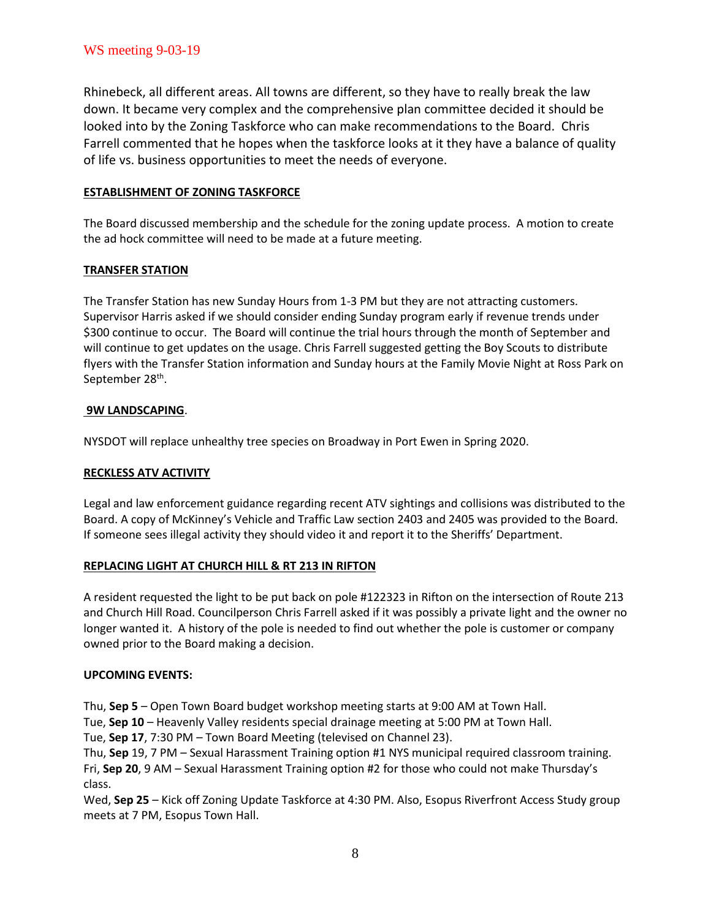Rhinebeck, all different areas. All towns are different, so they have to really break the law down. It became very complex and the comprehensive plan committee decided it should be looked into by the Zoning Taskforce who can make recommendations to the Board. Chris Farrell commented that he hopes when the taskforce looks at it they have a balance of quality of life vs. business opportunities to meet the needs of everyone.

### **ESTABLISHMENT OF ZONING TASKFORCE**

The Board discussed membership and the schedule for the zoning update process. A motion to create the ad hock committee will need to be made at a future meeting.

### **TRANSFER STATION**

The Transfer Station has new Sunday Hours from 1-3 PM but they are not attracting customers. Supervisor Harris asked if we should consider ending Sunday program early if revenue trends under \$300 continue to occur. The Board will continue the trial hours through the month of September and will continue to get updates on the usage. Chris Farrell suggested getting the Boy Scouts to distribute flyers with the Transfer Station information and Sunday hours at the Family Movie Night at Ross Park on September 28<sup>th</sup>.

### **9W LANDSCAPING**.

NYSDOT will replace unhealthy tree species on Broadway in Port Ewen in Spring 2020.

### **RECKLESS ATV ACTIVITY**

Legal and law enforcement guidance regarding recent ATV sightings and collisions was distributed to the Board. A copy of McKinney's Vehicle and Traffic Law section 2403 and 2405 was provided to the Board. If someone sees illegal activity they should video it and report it to the Sheriffs' Department.

### **REPLACING LIGHT AT CHURCH HILL & RT 213 IN RIFTON**

A resident requested the light to be put back on pole #122323 in Rifton on the intersection of Route 213 and Church Hill Road. Councilperson Chris Farrell asked if it was possibly a private light and the owner no longer wanted it. A history of the pole is needed to find out whether the pole is customer or company owned prior to the Board making a decision.

### **UPCOMING EVENTS:**

Thu, **Sep 5** – Open Town Board budget workshop meeting starts at 9:00 AM at Town Hall.

Tue, **Sep 10** – Heavenly Valley residents special drainage meeting at 5:00 PM at Town Hall.

Tue, **Sep 17**, 7:30 PM – Town Board Meeting (televised on Channel 23).

Thu, **Sep** 19, 7 PM – Sexual Harassment Training option #1 NYS municipal required classroom training. Fri, **Sep 20**, 9 AM – Sexual Harassment Training option #2 for those who could not make Thursday's class.

Wed, **Sep 25** – Kick off Zoning Update Taskforce at 4:30 PM. Also, Esopus Riverfront Access Study group meets at 7 PM, Esopus Town Hall.